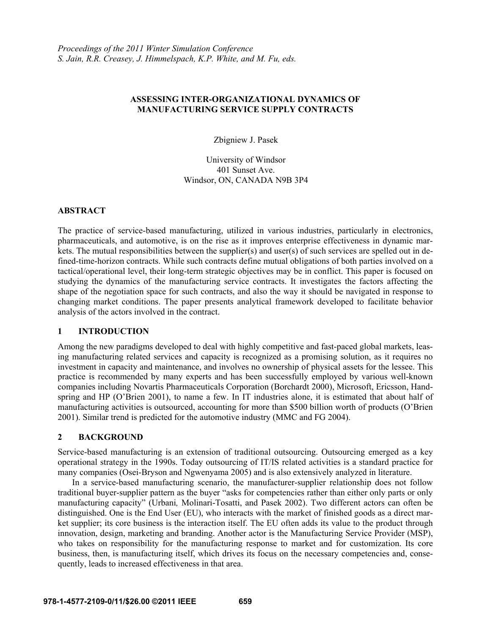## **ASSESSING INTER-ORGANIZATIONAL DYNAMICS OF MANUFACTURING SERVICE SUPPLY CONTRACTS**

Zbigniew J. Pasek

University of Windsor 401 Sunset Ave. Windsor, ON, CANADA N9B 3P4

#### **ABSTRACT**

The practice of service-based manufacturing, utilized in various industries, particularly in electronics, pharmaceuticals, and automotive, is on the rise as it improves enterprise effectiveness in dynamic markets. The mutual responsibilities between the supplier(s) and user(s) of such services are spelled out in defined-time-horizon contracts. While such contracts define mutual obligations of both parties involved on a tactical/operational level, their long-term strategic objectives may be in conflict. This paper is focused on studying the dynamics of the manufacturing service contracts. It investigates the factors affecting the shape of the negotiation space for such contracts, and also the way it should be navigated in response to changing market conditions. The paper presents analytical framework developed to facilitate behavior analysis of the actors involved in the contract.

## **1 INTRODUCTION**

Among the new paradigms developed to deal with highly competitive and fast-paced global markets, leasing manufacturing related services and capacity is recognized as a promising solution, as it requires no investment in capacity and maintenance, and involves no ownership of physical assets for the lessee. This practice is recommended by many experts and has been successfully employed by various well-known companies including Novartis Pharmaceuticals Corporation (Borchardt 2000), Microsoft, Ericsson, Handspring and HP (O'Brien 2001), to name a few. In IT industries alone, it is estimated that about half of manufacturing activities is outsourced, accounting for more than \$500 billion worth of products (O'Brien 2001). Similar trend is predicted for the automotive industry (MMC and FG 2004).

## **2 BACKGROUND**

Service-based manufacturing is an extension of traditional outsourcing. Outsourcing emerged as a key operational strategy in the 1990s. Today outsourcing of IT/IS related activities is a standard practice for many companies (Osei-Bryson and Ngwenyama 2005) and is also extensively analyzed in literature.

In a service-based manufacturing scenario, the manufacturer-supplier relationship does not follow traditional buyer-supplier pattern as the buyer "asks for competencies rather than either only parts or only manufacturing capacity" (Urbani*,* Molinari-Tosatti, and Pasek 2002). Two different actors can often be distinguished. One is the End User (EU), who interacts with the market of finished goods as a direct market supplier; its core business is the interaction itself. The EU often adds its value to the product through innovation, design, marketing and branding. Another actor is the Manufacturing Service Provider (MSP), who takes on responsibility for the manufacturing response to market and for customization. Its core business, then, is manufacturing itself, which drives its focus on the necessary competencies and, consequently, leads to increased effectiveness in that area.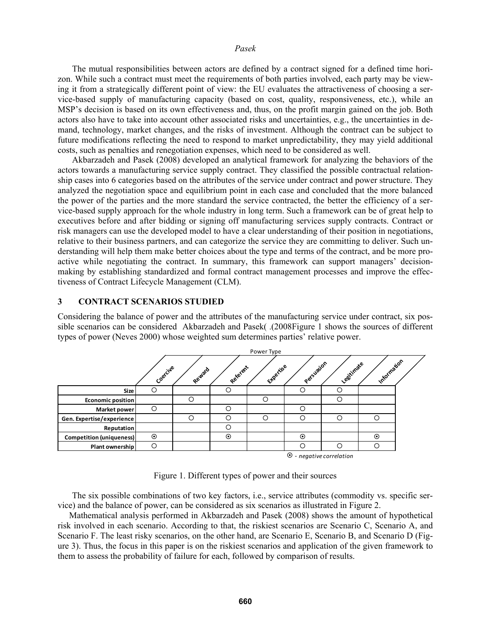The mutual responsibilities between actors are defined by a contract signed for a defined time horizon. While such a contract must meet the requirements of both parties involved, each party may be viewing it from a strategically different point of view: the EU evaluates the attractiveness of choosing a service-based supply of manufacturing capacity (based on cost, quality, responsiveness, etc.), while an MSP's decision is based on its own effectiveness and, thus, on the profit margin gained on the job. Both actors also have to take into account other associated risks and uncertainties, e.g., the uncertainties in demand, technology, market changes, and the risks of investment. Although the contract can be subject to future modifications reflecting the need to respond to market unpredictability, they may yield additional costs, such as penalties and renegotiation expenses, which need to be considered as well.

Akbarzadeh and Pasek (2008) developed an analytical framework for analyzing the behaviors of the actors towards a manufacturing service supply contract. They classified the possible contractual relationship cases into 6 categories based on the attributes of the service under contract and power structure. They analyzed the negotiation space and equilibrium point in each case and concluded that the more balanced the power of the parties and the more standard the service contracted, the better the efficiency of a service-based supply approach for the whole industry in long term. Such a framework can be of great help to executives before and after bidding or signing off manufacturing services supply contracts. Contract or risk managers can use the developed model to have a clear understanding of their position in negotiations, relative to their business partners, and can categorize the service they are committing to deliver. Such understanding will help them make better choices about the type and terms of the contract, and be more proactive while negotiating the contract. In summary, this framework can support managers' decisionmaking by establishing standardized and formal contract management processes and improve the effectiveness of Contract Lifecycle Management (CLM).

## **3 CONTRACT SCENARIOS STUDIED**

Considering the balance of power and the attributes of the manufacturing service under contract, six possible scenarios can be considered Akbarzadeh and Pasek (.2008 Figure 1 shows the sources of different types of power (Neves 2000) whose weighted sum determines parties' relative power.

|                                 | Power Type                     |        |           |          |            |            |             |  |
|---------------------------------|--------------------------------|--------|-----------|----------|------------|------------|-------------|--|
|                                 | Coercive                       | Reward | Referent  | Experise | Persuasion | Legitimate | Information |  |
| <b>Size</b>                     | О                              |        | С         |          | ∩          | ∩          |             |  |
| Economic position               |                                | ∩      |           | O        |            | ∩          |             |  |
| Market power                    | Ω                              |        | C         |          | ∩          |            |             |  |
| Gen. Expertise/experience       |                                | ∩      | $\subset$ | O        | ∩          | ∩          |             |  |
| <b>Reputation</b>               |                                |        | O         |          |            |            |             |  |
| <b>Competition (uniqueness)</b> | $\odot$                        |        | $\odot$   |          | $\odot$    |            | $\odot$     |  |
| Plant ownership                 | ∩                              |        |           |          | ∩          | ∩          |             |  |
|                                 | $\odot$ - negative correlation |        |           |          |            |            |             |  |

Figure 1. Different types of power and their sources

The six possible combinations of two key factors, i.e., service attributes (commodity vs. specific service) and the balance of power, can be considered as six scenarios as illustrated in Figure 2.

Mathematical analysis performed in Akbarzadeh and Pasek (2008) shows the amount of hypothetical risk involved in each scenario. According to that, the riskiest scenarios are Scenario C, Scenario A, and Scenario F. The least risky scenarios, on the other hand, are Scenario E, Scenario B, and Scenario D (Figure 3). Thus, the focus in this paper is on the riskiest scenarios and application of the given framework to them to assess the probability of failure for each, followed by comparison of results.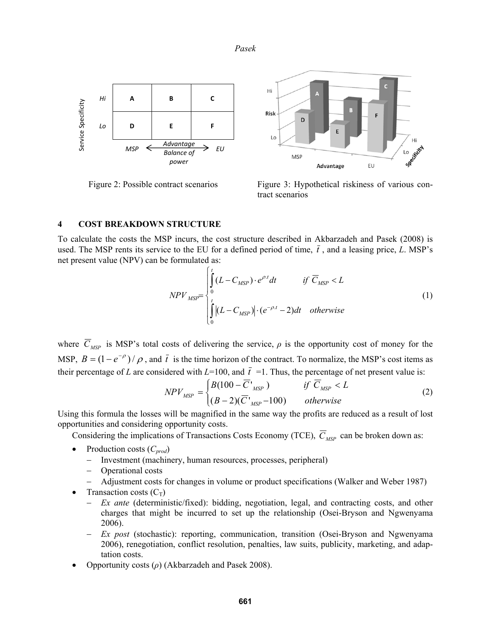



Figure 2: Possible contract scenarios Figure 3: Hypothetical riskiness of various contract scenarios

#### **4 COST BREAKDOWN STRUCTURE**

To calculate the costs the MSP incurs, the cost structure described in Akbarzadeh and Pasek (2008) is used. The MSP rents its service to the EU for a defined period of time,  $\bar{t}$ , and a leasing price, *L*. MSP's net present value (NPV) can be formulated as:

$$
NPV_{MSP} = \begin{cases} \int_{0}^{t} (L - C_{MSP}) \cdot e^{\rho \cdot t} dt & \text{if } \overline{C}_{MSP} < L \\ 0 & \\ \int_{0}^{t} |(L - C_{MSP})| \cdot (e^{-\rho \cdot t} - 2) dt & \text{otherwise} \end{cases}
$$
 (1)

where  $\overline{C}_{MSP}$  is MSP's total costs of delivering the service,  $\rho$  is the opportunity cost of money for the MSP,  $B = (1 - e^{-\rho})/\rho$ , and  $\bar{t}$  is the time horizon of the contract. To normalize, the MSP's cost items as their percentage of *L* are considered with  $L=100$ , and  $\bar{t} = 1$ . Thus, the percentage of net present value is:

$$
NPV_{MSP} = \begin{cases} B(100 - \overline{C'}_{MSP}) & \text{if } \overline{C}_{MSP} < L \\ (B - 2)(\overline{C'}_{MSP} - 100) & \text{otherwise} \end{cases}
$$
 (2)

Using this formula the losses will be magnified in the same way the profits are reduced as a result of lost opportunities and considering opportunity costs.

Considering the implications of Transactions Costs Economy (TCE),  $\overline{C}_{MSP}$  can be broken down as:

- Production costs (*Cprod*)
	- Investment (machinery, human resources, processes, peripheral)
	- Operational costs
	- Adjustment costs for changes in volume or product specifications (Walker and Weber 1987)
- Transaction costs  $(C_T)$ 
	- *Ex ante* (deterministic/fixed): bidding, negotiation, legal, and contracting costs, and other charges that might be incurred to set up the relationship (Osei-Bryson and Ngwenyama 2006).
	- *Ex post* (stochastic): reporting, communication, transition (Osei-Bryson and Ngwenyama 2006), renegotiation, conflict resolution, penalties, law suits, publicity, marketing, and adaptation costs.
- Opportunity costs (*ρ*) (Akbarzadeh and Pasek 2008).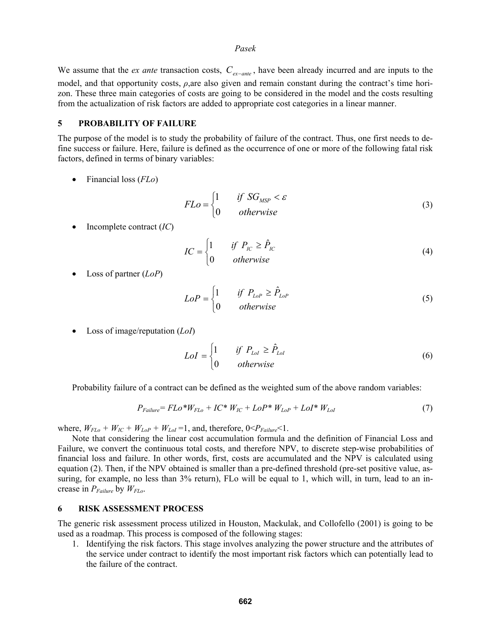We assume that the *ex ante* transaction costs,  $C_{ex-ante}$ , have been already incurred and are inputs to the model, and that opportunity costs, *ρ*,are also given and remain constant during the contract's time horizon. These three main categories of costs are going to be considered in the model and the costs resulting from the actualization of risk factors are added to appropriate cost categories in a linear manner.

## **5 PROBABILITY OF FAILURE**

The purpose of the model is to study the probability of failure of the contract. Thus, one first needs to define success or failure. Here, failure is defined as the occurrence of one or more of the following fatal risk factors, defined in terms of binary variables:

Financial loss (*FLo*)

$$
FLo = \begin{cases} 1 & \text{if } SG_{MSP} < \varepsilon \\ 0 & \text{otherwise} \end{cases} \tag{3}
$$

• Incomplete contract (*IC*)

$$
IC = \begin{cases} 1 & \text{if } P_{IC} \ge \hat{P}_{IC} \\ 0 & \text{otherwise} \end{cases}
$$
 (4)

Loss of partner (*LoP*)

$$
LoP = \begin{cases} 1 & \text{if } P_{LoP} \ge \hat{P}_{LoP} \\ 0 & \text{otherwise} \end{cases}
$$
 (5)

Loss of image/reputation (*LoI*)

$$
LoI = \begin{cases} 1 & \text{if } P_{LoI} \ge \hat{P}_{LoI} \\ 0 & \text{otherwise} \end{cases}
$$
 (6)

Probability failure of a contract can be defined as the weighted sum of the above random variables:

$$
P_{Failure} = FLo*W_{FLo} + IC*W_{IC} + LoP*W_{LoP} + LoI*W_{LoI}
$$
 (7)

where,  $W_{FLo} + W_{IC} + W_{LoP} + W_{LoI} = 1$ , and, therefore,  $0 < P_{Failure} < 1$ .

Note that considering the linear cost accumulation formula and the definition of Financial Loss and Failure, we convert the continuous total costs, and therefore NPV, to discrete step-wise probabilities of financial loss and failure. In other words, first, costs are accumulated and the NPV is calculated using equation (2). Then, if the NPV obtained is smaller than a pre-defined threshold (pre-set positive value, assuring, for example, no less than 3% return), FLo will be equal to 1, which will, in turn, lead to an increase in *PFailure* by *WFLo*.

### **6 RISK ASSESSMENT PROCESS**

The generic risk assessment process utilized in Houston, Mackulak, and Collofello (2001) is going to be used as a roadmap. This process is composed of the following stages:

1. Identifying the risk factors. This stage involves analyzing the power structure and the attributes of the service under contract to identify the most important risk factors which can potentially lead to the failure of the contract.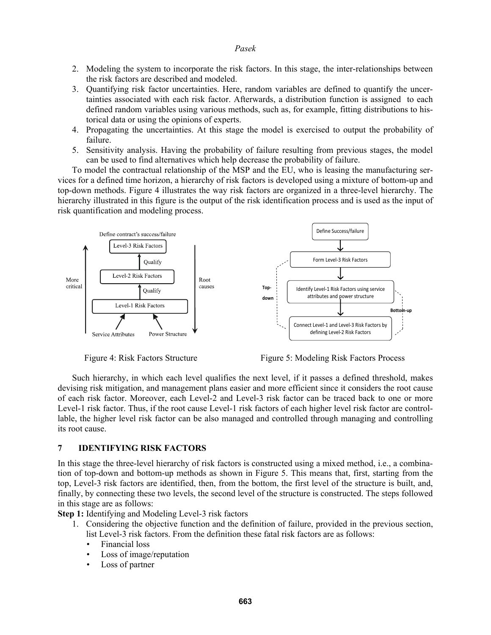- 2. Modeling the system to incorporate the risk factors. In this stage, the inter-relationships between the risk factors are described and modeled.
- 3. Quantifying risk factor uncertainties. Here, random variables are defined to quantify the uncertainties associated with each risk factor. Afterwards, a distribution function is assigned to each defined random variables using various methods, such as, for example, fitting distributions to historical data or using the opinions of experts.
- 4. Propagating the uncertainties. At this stage the model is exercised to output the probability of failure.
- 5. Sensitivity analysis. Having the probability of failure resulting from previous stages, the model can be used to find alternatives which help decrease the probability of failure.

To model the contractual relationship of the MSP and the EU, who is leasing the manufacturing services for a defined time horizon, a hierarchy of risk factors is developed using a mixture of bottom-up and top-down methods. Figure 4 illustrates the way risk factors are organized in a three-level hierarchy. The hierarchy illustrated in this figure is the output of the risk identification process and is used as the input of risk quantification and modeling process.



Figure 4: Risk Factors Structure Figure 5: Modeling Risk Factors Process

Such hierarchy, in which each level qualifies the next level, if it passes a defined threshold, makes devising risk mitigation, and management plans easier and more efficient since it considers the root cause of each risk factor. Moreover, each Level-2 and Level-3 risk factor can be traced back to one or more Level-1 risk factor. Thus, if the root cause Level-1 risk factors of each higher level risk factor are controllable, the higher level risk factor can be also managed and controlled through managing and controlling its root cause.

# **7 IDENTIFYING RISK FACTORS**

In this stage the three-level hierarchy of risk factors is constructed using a mixed method, i.e., a combination of top-down and bottom-up methods as shown in Figure 5. This means that, first, starting from the top, Level-3 risk factors are identified, then, from the bottom, the first level of the structure is built, and, finally, by connecting these two levels, the second level of the structure is constructed. The steps followed in this stage are as follows:

**Step 1:** Identifying and Modeling Level-3 risk factors

- 1. Considering the objective function and the definition of failure, provided in the previous section, list Level-3 risk factors. From the definition these fatal risk factors are as follows:
	- Financial loss
	- Loss of image/reputation
	- Loss of partner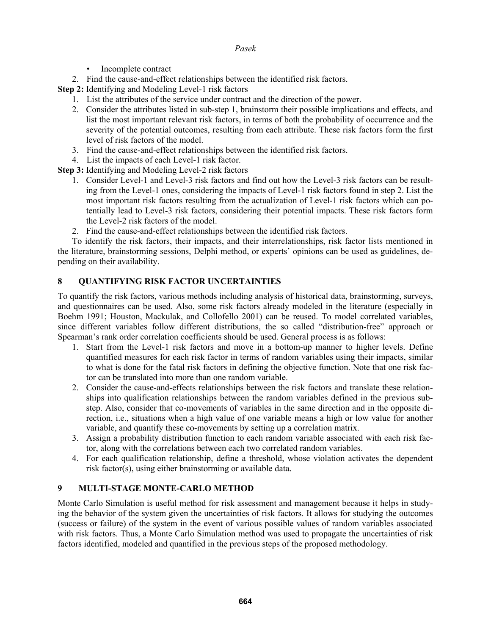• Incomplete contract

2. Find the cause-and-effect relationships between the identified risk factors.

**Step 2:** Identifying and Modeling Level-1 risk factors

- 1. List the attributes of the service under contract and the direction of the power.
- 2. Consider the attributes listed in sub-step 1, brainstorm their possible implications and effects, and list the most important relevant risk factors, in terms of both the probability of occurrence and the severity of the potential outcomes, resulting from each attribute. These risk factors form the first level of risk factors of the model.
- 3. Find the cause-and-effect relationships between the identified risk factors.
- 4. List the impacts of each Level-1 risk factor.

**Step 3:** Identifying and Modeling Level-2 risk factors

- 1. Consider Level-1 and Level-3 risk factors and find out how the Level-3 risk factors can be resulting from the Level-1 ones, considering the impacts of Level-1 risk factors found in step 2. List the most important risk factors resulting from the actualization of Level-1 risk factors which can potentially lead to Level-3 risk factors, considering their potential impacts. These risk factors form the Level-2 risk factors of the model.
- 2. Find the cause-and-effect relationships between the identified risk factors.

To identify the risk factors, their impacts, and their interrelationships, risk factor lists mentioned in the literature, brainstorming sessions, Delphi method, or experts' opinions can be used as guidelines, depending on their availability.

# **8 QUANTIFYING RISK FACTOR UNCERTAINTIES**

To quantify the risk factors, various methods including analysis of historical data, brainstorming, surveys, and questionnaires can be used. Also, some risk factors already modeled in the literature (especially in Boehm 1991; Houston, Mackulak, and Collofello 2001) can be reused. To model correlated variables, since different variables follow different distributions, the so called "distribution-free" approach or Spearman's rank order correlation coefficients should be used. General process is as follows:

- Start from the Level-1 risk factors and move in a bottom-up manner to higher levels. Define quantified measures for each risk factor in terms of random variables using their impacts, similar to what is done for the fatal risk factors in defining the objective function. Note that one risk factor can be translated into more than one random variable.
- 2. Consider the cause-and-effects relationships between the risk factors and translate these relationships into qualification relationships between the random variables defined in the previous substep. Also, consider that co-movements of variables in the same direction and in the opposite direction, i.e., situations when a high value of one variable means a high or low value for another variable, and quantify these co-movements by setting up a correlation matrix.
- 3. Assign a probability distribution function to each random variable associated with each risk factor, along with the correlations between each two correlated random variables.
- 4. For each qualification relationship, define a threshold, whose violation activates the dependent risk factor(s), using either brainstorming or available data.

# **9 MULTI-STAGE MONTE-CARLO METHOD**

Monte Carlo Simulation is useful method for risk assessment and management because it helps in studying the behavior of the system given the uncertainties of risk factors. It allows for studying the outcomes (success or failure) of the system in the event of various possible values of random variables associated with risk factors. Thus, a Monte Carlo Simulation method was used to propagate the uncertainties of risk factors identified, modeled and quantified in the previous steps of the proposed methodology.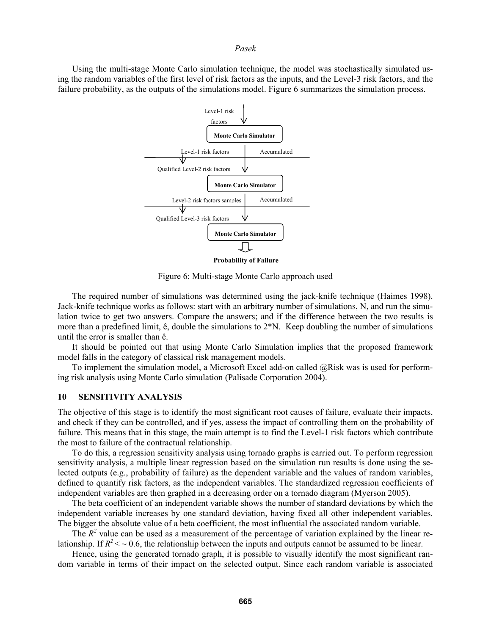Using the multi-stage Monte Carlo simulation technique, the model was stochastically simulated using the random variables of the first level of risk factors as the inputs, and the Level-3 risk factors, and the failure probability, as the outputs of the simulations model. Figure 6 summarizes the simulation process.



Figure 6: Multi-stage Monte Carlo approach used

The required number of simulations was determined using the jack-knife technique (Haimes 1998). Jack-knife technique works as follows: start with an arbitrary number of simulations, N, and run the simulation twice to get two answers. Compare the answers; and if the difference between the two results is more than a predefined limit, ê, double the simulations to 2\*N. Keep doubling the number of simulations until the error is smaller than ê.

It should be pointed out that using Monte Carlo Simulation implies that the proposed framework model falls in the category of classical risk management models.

To implement the simulation model, a Microsoft Excel add-on called  $@Risk$  was is used for performing risk analysis using Monte Carlo simulation (Palisade Corporation 2004).

### **10 SENSITIVITY ANALYSIS**

The objective of this stage is to identify the most significant root causes of failure, evaluate their impacts, and check if they can be controlled, and if yes, assess the impact of controlling them on the probability of failure. This means that in this stage, the main attempt is to find the Level-1 risk factors which contribute the most to failure of the contractual relationship.

To do this, a regression sensitivity analysis using tornado graphs is carried out. To perform regression sensitivity analysis, a multiple linear regression based on the simulation run results is done using the selected outputs (e.g., probability of failure) as the dependent variable and the values of random variables, defined to quantify risk factors, as the independent variables. The standardized regression coefficients of independent variables are then graphed in a decreasing order on a tornado diagram (Myerson 2005).

The beta coefficient of an independent variable shows the number of standard deviations by which the independent variable increases by one standard deviation, having fixed all other independent variables. The bigger the absolute value of a beta coefficient, the most influential the associated random variable.

The  $R^2$  value can be used as a measurement of the percentage of variation explained by the linear relationship. If  $R^2 < \sim 0.6$ , the relationship between the inputs and outputs cannot be assumed to be linear.

Hence, using the generated tornado graph, it is possible to visually identify the most significant random variable in terms of their impact on the selected output. Since each random variable is associated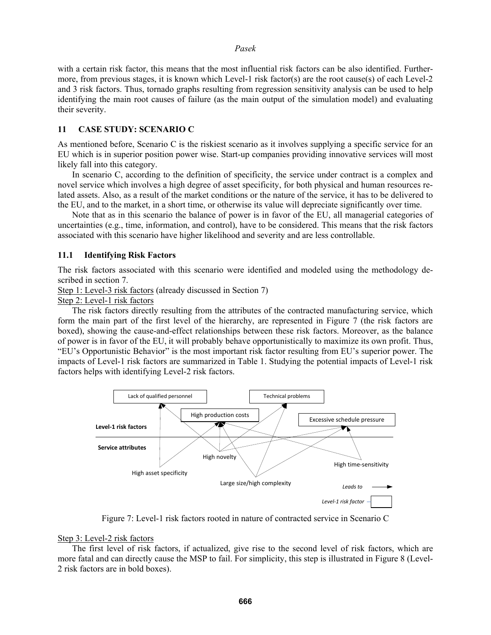with a certain risk factor, this means that the most influential risk factors can be also identified. Furthermore, from previous stages, it is known which Level-1 risk factor(s) are the root cause(s) of each Level-2 and 3 risk factors. Thus, tornado graphs resulting from regression sensitivity analysis can be used to help identifying the main root causes of failure (as the main output of the simulation model) and evaluating their severity.

#### **11 CASE STUDY: SCENARIO C**

As mentioned before, Scenario C is the riskiest scenario as it involves supplying a specific service for an EU which is in superior position power wise. Start-up companies providing innovative services will most likely fall into this category.

In scenario C, according to the definition of specificity, the service under contract is a complex and novel service which involves a high degree of asset specificity, for both physical and human resources related assets. Also, as a result of the market conditions or the nature of the service, it has to be delivered to the EU, and to the market, in a short time, or otherwise its value will depreciate significantly over time.

Note that as in this scenario the balance of power is in favor of the EU, all managerial categories of uncertainties (e.g., time, information, and control), have to be considered. This means that the risk factors associated with this scenario have higher likelihood and severity and are less controllable.

#### **11.1 Identifying Risk Factors**

The risk factors associated with this scenario were identified and modeled using the methodology described in section 7.

Step 1: Level-3 risk factors (already discussed in Section 7)

Step 2: Level-1 risk factors

The risk factors directly resulting from the attributes of the contracted manufacturing service, which form the main part of the first level of the hierarchy, are represented in Figure 7 (the risk factors are boxed), showing the cause-and-effect relationships between these risk factors. Moreover, as the balance of power is in favor of the EU, it will probably behave opportunistically to maximize its own profit. Thus, "EU's Opportunistic Behavior" is the most important risk factor resulting from EU's superior power. The impacts of Level-1 risk factors are summarized in Table 1. Studying the potential impacts of Level-1 risk factors helps with identifying Level-2 risk factors.



Figure 7: Level-1 risk factors rooted in nature of contracted service in Scenario C

#### Step 3: Level-2 risk factors

The first level of risk factors, if actualized, give rise to the second level of risk factors, which are more fatal and can directly cause the MSP to fail. For simplicity, this step is illustrated in Figure 8 (Level-2 risk factors are in bold boxes).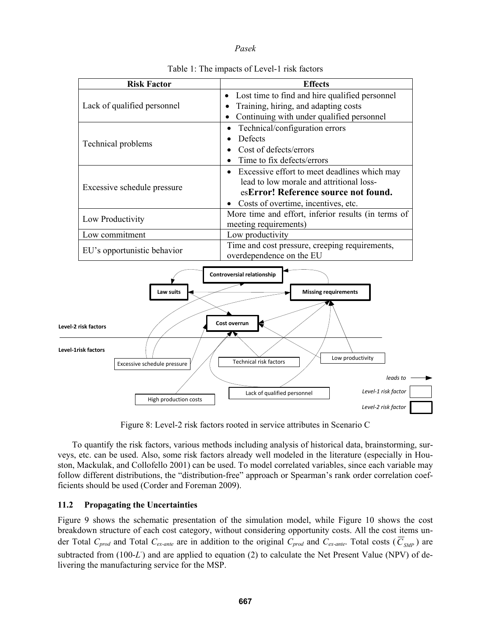| <b>Risk Factor</b>          | <b>Effects</b>                                                             |  |  |  |
|-----------------------------|----------------------------------------------------------------------------|--|--|--|
|                             | Lost time to find and hire qualified personnel                             |  |  |  |
| Lack of qualified personnel | Training, hiring, and adapting costs                                       |  |  |  |
|                             | Continuing with under qualified personnel                                  |  |  |  |
|                             | Technical/configuration errors                                             |  |  |  |
| Technical problems          | <b>Defects</b>                                                             |  |  |  |
|                             | Cost of defects/errors                                                     |  |  |  |
|                             | Time to fix defects/errors                                                 |  |  |  |
|                             | Excessive effort to meet deadlines which may                               |  |  |  |
|                             | lead to low morale and attritional loss-                                   |  |  |  |
| Excessive schedule pressure | esError! Reference source not found.                                       |  |  |  |
|                             | Costs of overtime, incentives, etc.                                        |  |  |  |
| Low Productivity            | More time and effort, inferior results (in terms of                        |  |  |  |
|                             | meeting requirements)                                                      |  |  |  |
| Low commitment              | Low productivity                                                           |  |  |  |
| EU's opportunistic behavior | Time and cost pressure, creeping requirements,<br>overdependence on the EU |  |  |  |

### Table 1: The impacts of Level-1 risk factors



Figure 8: Level-2 risk factors rooted in service attributes in Scenario C

To quantify the risk factors, various methods including analysis of historical data, brainstorming, surveys, etc. can be used. Also, some risk factors already well modeled in the literature (especially in Houston, Mackulak, and Collofello 2001) can be used. To model correlated variables, since each variable may follow different distributions, the "distribution-free" approach or Spearman's rank order correlation coefficients should be used (Corder and Foreman 2009).

# **11.2 Propagating the Uncertainties**

Figure 9 shows the schematic presentation of the simulation model, while Figure 10 shows the cost breakdown structure of each cost category, without considering opportunity costs. All the cost items under Total  $C_{prod}$  and Total  $C_{ex-ante}$  are in addition to the original  $C_{prod}$  and  $C_{ex-ante}$ . Total costs ( $\overline{C}_{SMP}$ ) are subtracted from (100-*L*) and are applied to equation (2) to calculate the Net Present Value (NPV) of delivering the manufacturing service for the MSP.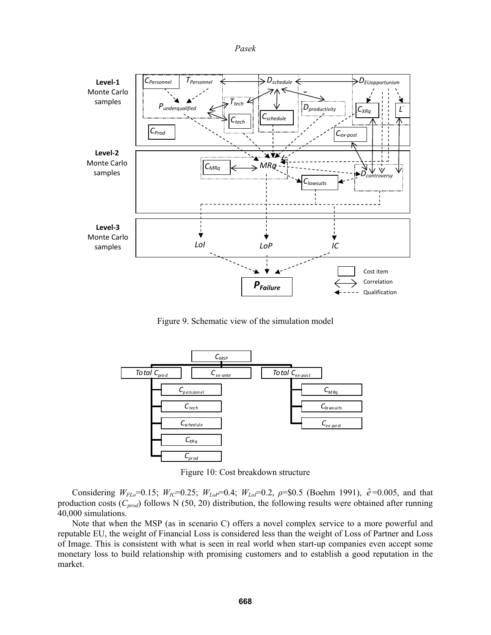

Figure 9. Schematic view of the simulation model



Figure 10: Cost breakdown structure

Considering  $W_{FLo}$ =0.15;  $W_{IC}$ =0.25;  $W_{Lo}$ =0.4;  $W_{Lo}$ =0.2,  $\rho$ =\$0.5 (Boehm 1991),  $\hat{e}$ =0.005, and that production costs (*Cprod*) follows N (50, 20) distribution, the following results were obtained after running 40,000 simulations.

Note that when the MSP (as in scenario C) offers a novel complex service to a more powerful and reputable EU, the weight of Financial Loss is considered less than the weight of Loss of Partner and Loss of Image. This is consistent with what is seen in real world when start-up companies even accept some monetary loss to build relationship with promising customers and to establish a good reputation in the market.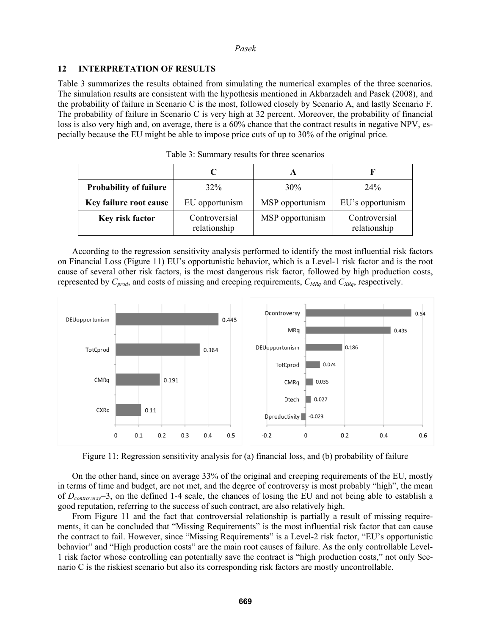## **12 INTERPRETATION OF RESULTS**

Table 3 summarizes the results obtained from simulating the numerical examples of the three scenarios. The simulation results are consistent with the hypothesis mentioned in Akbarzadeh and Pasek (2008), and the probability of failure in Scenario C is the most, followed closely by Scenario A, and lastly Scenario F. The probability of failure in Scenario C is very high at 32 percent. Moreover, the probability of financial loss is also very high and, on average, there is a 60% chance that the contract results in negative NPV, especially because the EU might be able to impose price cuts of up to 30% of the original price.

| <b>Probability of failure</b> | $32\%$                        | 30%             | 24%                           |  |
|-------------------------------|-------------------------------|-----------------|-------------------------------|--|
| Key failure root cause        | EU opportunism                | MSP opportunism | EU's opportunism              |  |
| Key risk factor               | Controversial<br>relationship | MSP opportunism | Controversial<br>relationship |  |

Table 3: Summary results for three scenarios

According to the regression sensitivity analysis performed to identify the most influential risk factors on Financial Loss (Figure 11) EU's opportunistic behavior, which is a Level-1 risk factor and is the root cause of several other risk factors, is the most dangerous risk factor, followed by high production costs, represented by  $C_{prod}$ , and costs of missing and creeping requirements,  $C_{MRq}$  and  $C_{XRq}$ , respectively.

![](_page_10_Figure_6.jpeg)

Figure 11: Regression sensitivity analysis for (a) financial loss, and (b) probability of failure

On the other hand, since on average 33% of the original and creeping requirements of the EU, mostly in terms of time and budget, are not met, and the degree of controversy is most probably "high", the mean of *Dcontroversy*=3, on the defined 1-4 scale, the chances of losing the EU and not being able to establish a good reputation, referring to the success of such contract, are also relatively high.

From Figure 11 and the fact that controversial relationship is partially a result of missing requirements, it can be concluded that "Missing Requirements" is the most influential risk factor that can cause the contract to fail. However, since "Missing Requirements" is a Level-2 risk factor, "EU's opportunistic behavior" and "High production costs" are the main root causes of failure. As the only controllable Level-1 risk factor whose controlling can potentially save the contract is "high production costs," not only Scenario C is the riskiest scenario but also its corresponding risk factors are mostly uncontrollable.